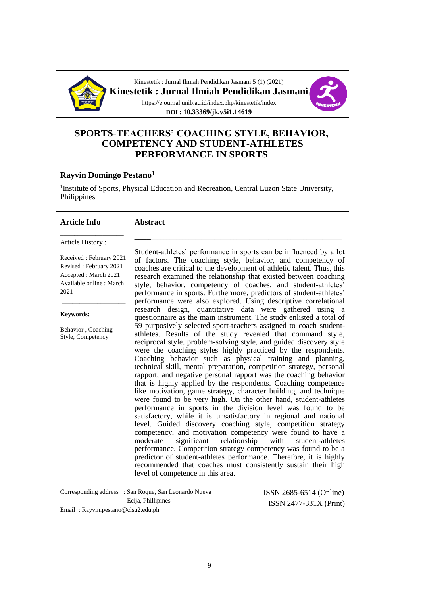

Kinestetik : Jurnal Ilmiah Pendidikan Jasmani 5 (1) (2021) **Kinestetik : Jurnal Ilmiah Pendidikan Jasmani** https://ejournal.unib.ac.id/index.php/kinestetik/index



**DOI : 10.33369/jk.v5i1.14619**

#### **SPORTS-TEACHERS' COACHING STYLE, BEHAVIOR, COMPETENCY AND STUDENT-ATHLETES PERFORMANCE IN SPORTS**

#### **Rayvin Domingo Pestano<sup>1</sup>**

<sup>1</sup>Institute of Sports, Physical Education and Recreation, Central Luzon State University, Philippines

#### **Article Info**

#### **Abstract**

Article History :

Received : February 2021 Revised : February 2021 Accepted : March 2021 Available online : March 2021

\_\_\_\_\_\_\_\_\_\_\_\_\_\_\_\_\_\_

\_\_\_\_\_\_\_\_\_\_\_\_\_\_\_\_\_\_

**Keywords:**

Behavior , Coaching Style, Competency

Student-athletes' performance in sports can be influenced by a lot of factors. The coaching style, behavior, and competency of coaches are critical to the development of athletic talent. Thus, this research examined the relationship that existed between coaching style, behavior, competency of coaches, and student-athletes' performance in sports. Furthermore, predictors of student-athletes' performance were also explored. Using descriptive correlational research design, quantitative data were gathered using a questionnaire as the main instrument. The study enlisted a total of 59 purposively selected sport-teachers assigned to coach studentathletes. Results of the study revealed that command style, reciprocal style, problem-solving style, and guided discovery style were the coaching styles highly practiced by the respondents. Coaching behavior such as physical training and planning, technical skill, mental preparation, competition strategy, personal rapport, and negative personal rapport was the coaching behavior that is highly applied by the respondents. Coaching competence like motivation, game strategy, character building, and technique were found to be very high. On the other hand, student-athletes performance in sports in the division level was found to be satisfactory, while it is unsatisfactory in regional and national level. Guided discovery coaching style, competition strategy competency, and motivation competency were found to have a moderate significant relationship with student-athletes performance. Competition strategy competency was found to be a predictor of student-athletes performance. Therefore, it is highly recommended that coaches must consistently sustain their high level of competence in this area.

**\_\_\_\_**\_\_\_\_\_\_\_\_\_\_\_\_\_\_\_\_\_\_\_\_\_\_\_\_\_\_\_\_\_\_\_\_\_\_\_\_\_\_\_\_\_\_\_\_\_\_\_\_\_\_\_\_\_\_\_\_\_\_\_\_

| Corresponding address : San Roque, San Leonardo Nueva | ISSN 2685-6514 (Online)  |
|-------------------------------------------------------|--------------------------|
| Ecija, Phillipines                                    | $ISSN 2477-331X (Print)$ |
| Email: Rayvin.pestano@clsu2.edu.ph                    |                          |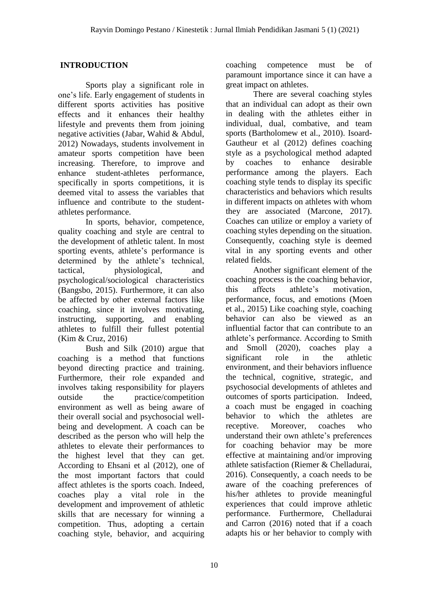## **INTRODUCTION**

Sports play a significant role in one's life. Early engagement of students in different sports activities has positive effects and it enhances their healthy lifestyle and prevents them from joining negative activities (Jabar, Wahid & Abdul, 2012) Nowadays, students involvement in amateur sports competition have been increasing. Therefore, to improve and enhance student-athletes performance, specifically in sports competitions, it is deemed vital to assess the variables that influence and contribute to the studentathletes performance.

In sports, behavior, competence, quality coaching and style are central to the development of athletic talent. In most sporting events, athlete's performance is determined by the athlete's technical, tactical, physiological, and psychological/sociological characteristics (Bangsbo, 2015). Furthermore, it can also be affected by other external factors like coaching, since it involves motivating, instructing, supporting, and enabling athletes to fulfill their fullest potential (Kim & Cruz, 2016)

Bush and Silk (2010) argue that coaching is a method that functions beyond directing practice and training. Furthermore, their role expanded and involves taking responsibility for players outside the practice/competition environment as well as being aware of their overall social and psychosocial wellbeing and development. A coach can be described as the person who will help the athletes to elevate their performances to the highest level that they can get. According to Ehsani et al (2012), one of the most important factors that could affect athletes is the sports coach. Indeed, coaches play a vital role in the development and improvement of athletic skills that are necessary for winning a competition. Thus, adopting a certain coaching style, behavior, and acquiring

coaching competence must be of paramount importance since it can have a great impact on athletes.

There are several coaching styles that an individual can adopt as their own in dealing with the athletes either in individual, dual, combative, and team sports (Bartholomew et al., 2010). Isoard-Gautheur et al (2012) defines coaching style as a psychological method adapted by coaches to enhance desirable performance among the players. Each coaching style tends to display its specific characteristics and behaviors which results in different impacts on athletes with whom they are associated (Marcone, 2017). Coaches can utilize or employ a variety of coaching styles depending on the situation. Consequently, coaching style is deemed vital in any sporting events and other related fields.

Another significant element of the coaching process is the coaching behavior, this affects athlete's motivation, performance, focus, and emotions (Moen et al., 2015) Like coaching style, coaching behavior can also be viewed as an influential factor that can contribute to an athlete's performance. According to Smith and Smoll (2020), coaches play a significant role in the athletic environment, and their behaviors influence the technical, cognitive, strategic, and psychosocial developments of athletes and outcomes of sports participation. Indeed, a coach must be engaged in coaching behavior to which the athletes are receptive. Moreover, coaches who understand their own athlete's preferences for coaching behavior may be more effective at maintaining and/or improving athlete satisfaction (Riemer & Chelladurai, 2016). Consequently, a coach needs to be aware of the coaching preferences of his/her athletes to provide meaningful experiences that could improve athletic performance. Furthermore, Chelladurai and Carron (2016) noted that if a coach adapts his or her behavior to comply with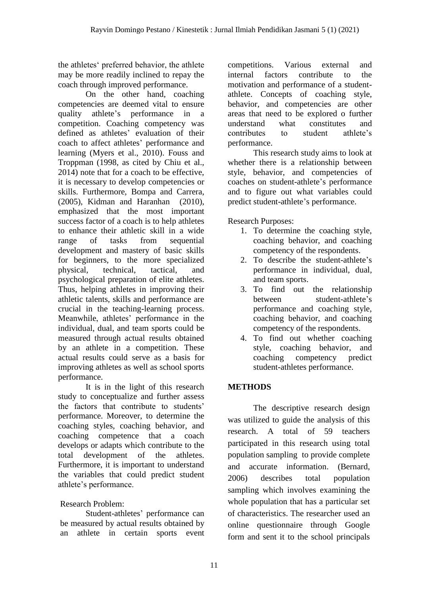the athletes' preferred behavior, the athlete may be more readily inclined to repay the coach through improved performance.

On the other hand, coaching competencies are deemed vital to ensure quality athlete's performance in a competition. Coaching competency was defined as athletes' evaluation of their coach to affect athletes' performance and learning (Myers et al., 2010). Fouss and Troppman (1998, as cited by Chiu et al., 2014) note that for a coach to be effective, it is necessary to develop competencies or skills. Furthermore, Bompa and Carrera, (2005), Kidman and Haranhan (2010), emphasized that the most important success factor of a coach is to help athletes to enhance their athletic skill in a wide range of tasks from sequential development and mastery of basic skills for beginners, to the more specialized physical, technical, tactical, and psychological preparation of elite athletes. Thus, helping athletes in improving their athletic talents, skills and performance are crucial in the teaching-learning process. Meanwhile, athletes' performance in the individual, dual, and team sports could be measured through actual results obtained by an athlete in a competition. These actual results could serve as a basis for improving athletes as well as school sports performance.

It is in the light of this research study to conceptualize and further assess the factors that contribute to students' performance. Moreover, to determine the coaching styles, coaching behavior, and coaching competence that a coach develops or adapts which contribute to the total development of the athletes. Furthermore, it is important to understand the variables that could predict student athlete's performance.

## Research Problem:

Student-athletes' performance can be measured by actual results obtained by an athlete in certain sports event competitions. Various external and internal factors contribute to the motivation and performance of a studentathlete. Concepts of coaching style, behavior, and competencies are other areas that need to be explored o further understand what constitutes and contributes to student athlete's performance.

This research study aims to look at whether there is a relationship between style, behavior, and competencies of coaches on student-athlete's performance and to figure out what variables could predict student-athlete's performance.

Research Purposes:

- 1. To determine the coaching style, coaching behavior, and coaching competency of the respondents.
- 2. To describe the student-athlete's performance in individual, dual, and team sports.
- 3. To find out the relationship between student-athlete's performance and coaching style, coaching behavior, and coaching competency of the respondents.
- 4. To find out whether coaching style, coaching behavior, and coaching competency predict student-athletes performance.

## **METHODS**

The descriptive research design was utilized to guide the analysis of this research. A total of 59 teachers participated in this research using total population sampling to provide complete and accurate information. (Bernard, 2006) describes total population sampling which involves examining the whole population that has a particular set of characteristics. The researcher used an online questionnaire through Google form and sent it to the school principals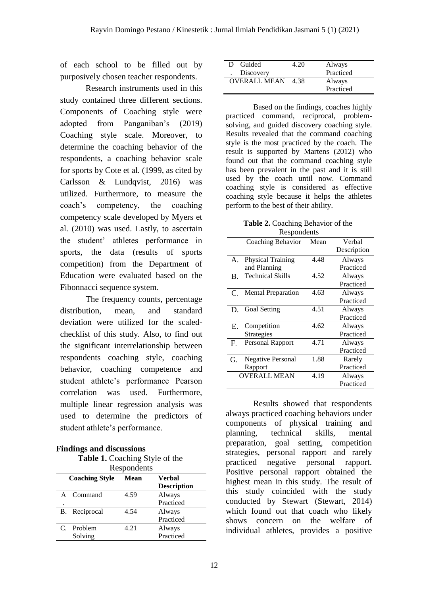of each school to be filled out by purposively chosen teacher respondents.

Research instruments used in this study contained three different sections. Components of Coaching style were adopted from Panganiban's (2019) Coaching style scale. Moreover, to determine the coaching behavior of the respondents, a coaching behavior scale for sports by Cote et al. (1999, as cited by Carlsson & Lundqvist, 2016) was utilized. Furthermore, to measure the coach's competency, the coaching competency scale developed by Myers et al. (2010) was used. Lastly, to ascertain the student' athletes performance in sports, the data (results of sports competition) from the Department of Education were evaluated based on the Fibonnacci sequence system.

The frequency counts, percentage distribution, mean, and standard deviation were utilized for the scaledchecklist of this study. Also, to find out the significant interrelationship between respondents coaching style, coaching behavior, coaching competence and student athlete's performance Pearson correlation was used. Furthermore, multiple linear regression analysis was used to determine the predictors of student athlete's performance.

## **Findings and discussions**

**Table 1.** Coaching Style of the

|                                      | Respondents   |      |                    |  |
|--------------------------------------|---------------|------|--------------------|--|
| <b>Coaching Style</b><br><b>Mean</b> |               |      | <b>Verbal</b>      |  |
|                                      |               |      | <b>Description</b> |  |
| $\mathbf{A}$                         | Command       | 4.59 | Always             |  |
|                                      |               |      | Practiced          |  |
|                                      | B. Reciprocal | 4.54 | Always             |  |
|                                      |               |      | Practiced          |  |
|                                      | C. Problem    | 4.21 | Always             |  |
|                                      | Solving       |      | Practiced          |  |

| Guided<br>D.        | 4.20 | Always    |
|---------------------|------|-----------|
| Discovery           |      | Practiced |
| <b>OVERALL MEAN</b> | 4.38 | Always    |
|                     |      | Practiced |

Based on the findings, coaches highly practiced command, reciprocal, problemsolving, and guided discovery coaching style. Results revealed that the command coaching style is the most practiced by the coach. The result is supported by Martens (2012) who found out that the command coaching style has been prevalent in the past and it is still used by the coach until now. Command coaching style is considered as effective coaching style because it helps the athletes perform to the best of their ability.

| <b>Table 2.</b> Coaching Behavior of the |
|------------------------------------------|
| Respondents                              |

| respondents |                           |      |             |
|-------------|---------------------------|------|-------------|
|             | Coaching Behavior         | Mean | Verbal      |
|             |                           |      | Description |
| A.          | <b>Physical Training</b>  | 4.48 | Always      |
|             | and Planning              |      | Practiced   |
| B.          | <b>Technical Skills</b>   | 4.52 | Always      |
|             |                           |      | Practiced   |
| C.          | <b>Mental Preparation</b> | 4.63 | Always      |
|             |                           |      | Practiced   |
|             | D. Goal Setting           | 4.51 | Always      |
|             |                           |      | Practiced   |
| E.          | Competition               | 4.62 | Always      |
|             | Strategies                |      | Practiced   |
| $F_{\cdot}$ | Personal Rapport          | 4.71 | Always      |
|             |                           |      | Practiced   |
| G.          | <b>Negative Personal</b>  | 1.88 | Rarely      |
|             | Rapport                   |      | Practiced   |
|             | <b>OVERALL MEAN</b>       | 4.19 | Always      |
|             |                           |      | Practiced   |

Results showed that respondents always practiced coaching behaviors under components of physical training and planning, technical skills, mental preparation, goal setting, competition strategies, personal rapport and rarely practiced negative personal rapport. Positive personal rapport obtained the highest mean in this study. The result of this study coincided with the study conducted by Stewart (Stewart, 2014) which found out that coach who likely shows concern on the welfare of individual athletes, provides a positive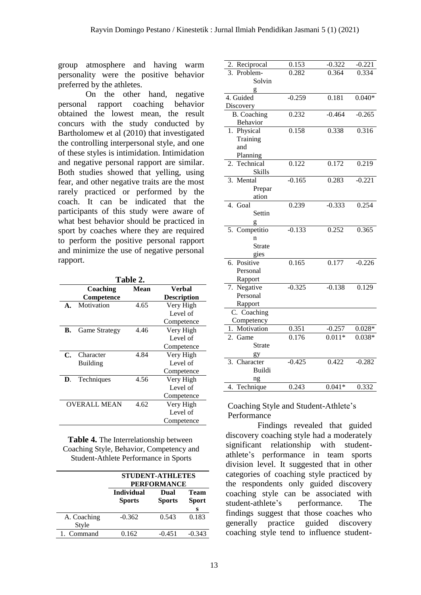group atmosphere and having warm personality were the positive behavior preferred by the athletes.

On the other hand, negative personal rapport coaching behavior obtained the lowest mean, the result concurs with the study conducted by Bartholomew et al (2010) that investigated the controlling interpersonal style, and one of these styles is intimidation. Intimidation and negative personal rapport are similar. Both studies showed that yelling, using fear, and other negative traits are the most rarely practiced or performed by the coach. It can be indicated that the participants of this study were aware of what best behavior should be practiced in sport by coaches where they are required to perform the positive personal rapport and minimize the use of negative personal rapport.

| Table 2.            |                      |      |                    |
|---------------------|----------------------|------|--------------------|
|                     | Coaching             | Mean | Verbal             |
|                     | Competence           |      | <b>Description</b> |
| $\mathbf{A}$ .      | Motivation           | 4.65 | Very High          |
|                     |                      |      | Level of           |
|                     |                      |      | Competence         |
| В.                  | <b>Game Strategy</b> | 4.46 | Very High          |
|                     |                      |      | Level of           |
|                     |                      |      | Competence         |
| С.                  | Character            | 4.84 | Very High          |
|                     | <b>Building</b>      |      | Level of           |
|                     |                      |      | Competence         |
| D.                  | Techniques           | 4.56 | Very High          |
|                     |                      |      | Level of           |
|                     |                      |      | Competence         |
| <b>OVERALL MEAN</b> |                      | 4.62 | Very High          |
|                     |                      |      | Level of           |
|                     |                      |      | Competence         |

**Table 4.** The Interrelationship between Coaching Style, Behavior, Competency and Student-Athlete Performance in Sports

|                      | <b>STUDENT-ATHLETES</b><br><b>PERFORMANCE</b> |                       |                                  |
|----------------------|-----------------------------------------------|-----------------------|----------------------------------|
|                      | <b>Individual</b><br><b>Sports</b>            | Dual<br><b>Sports</b> | <b>Team</b><br><b>Sport</b><br>s |
| A. Coaching<br>Style | $-0.362$                                      | 0.543                 | 0.183                            |
| 1. Command           | 0.162                                         | $-0.451$              | $-0.343$                         |

| 2. Reciprocal      | 0.153    | $-0.322$ | $-0.221$ |
|--------------------|----------|----------|----------|
| Problem-<br>3.     | 0.282    | 0.364    | 0.334    |
| Solvin             |          |          |          |
|                    |          |          |          |
| 4. Guided          | $-0.259$ | 0.181    | $0.040*$ |
| Discovery          |          |          |          |
| <b>B.</b> Coaching | 0.232    | $-0.464$ | $-0.265$ |
| Behavior           |          |          |          |
| 1. Physical        | 0.158    | 0.338    | 0.316    |
| Training           |          |          |          |
| and                |          |          |          |
| Planning           |          |          |          |
| Technical<br>2.    | 0.122    | 0.172    | 0.219    |
| Skills             |          |          |          |
| 3. Mental          | $-0.165$ | 0.283    | $-0.221$ |
| Prepar             |          |          |          |
| ation              |          |          |          |
| 4. Goal            | 0.239    | $-0.333$ | 0.254    |
| Settin             |          |          |          |
| g                  |          |          |          |
| 5. Competitio      | $-0.133$ | 0.252    | 0.365    |
| n                  |          |          |          |
| <b>Strate</b>      |          |          |          |
| gies               |          |          |          |
| 6. Positive        | 0.165    | 0.177    | $-0.226$ |
| Personal           |          |          |          |
| Rapport            |          |          |          |
| 7. Negative        | $-0.325$ | $-0.138$ | 0.129    |
| Personal           |          |          |          |
| Rapport            |          |          |          |
| C. Coaching        |          |          |          |
| Competency         |          |          |          |
| 1. Motivation      | 0.351    | $-0.257$ | $0.028*$ |
| 2. Game            | 0.176    | $0.011*$ | $0.038*$ |
| Strate             |          |          |          |
| gy                 |          |          |          |
| 3. Character       | $-0.425$ | 0.422    | $-0.282$ |
| Buildi             |          |          |          |
| ng                 |          |          |          |
| Technique<br>4.    | 0.243    | $0.041*$ | 0.332    |

Coaching Style and Student-Athlete's Performance

 Findings revealed that guided discovery coaching style had a moderately significant relationship with studentathlete's performance in team sports division level. It suggested that in other categories of coaching style practiced by the respondents only guided discovery coaching style can be associated with student-athlete's performance. The findings suggest that those coaches who generally practice guided discovery coaching style tend to influence student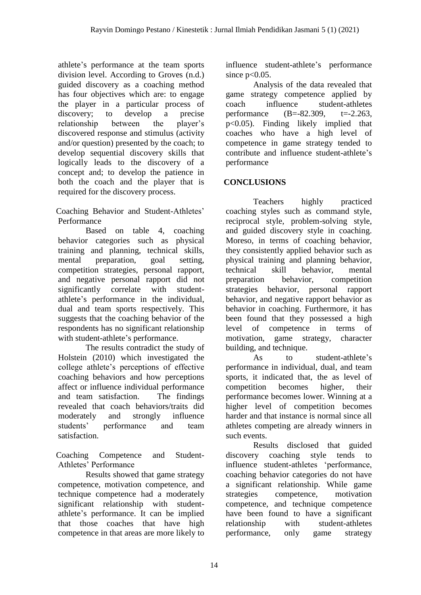athlete's performance at the team sports division level. According to Groves (n.d.) guided discovery as a coaching method has four objectives which are: to engage the player in a particular process of discovery; to develop a precise relationship between the player's discovered response and stimulus (activity and/or question) presented by the coach; to develop sequential discovery skills that logically leads to the discovery of a concept and; to develop the patience in both the coach and the player that is required for the discovery process.

Coaching Behavior and Student-Athletes' Performance

Based on table 4, coaching behavior categories such as physical training and planning, technical skills, mental preparation, goal setting, competition strategies, personal rapport, and negative personal rapport did not significantly correlate with studentathlete's performance in the individual, dual and team sports respectively. This suggests that the coaching behavior of the respondents has no significant relationship with student-athlete's performance.

The results contradict the study of Holstein (2010) which investigated the college athlete's perceptions of effective coaching behaviors and how perceptions affect or influence individual performance and team satisfaction. The findings revealed that coach behaviors/traits did moderately and strongly influence students' performance and team satisfaction.

Coaching Competence and Student-Athletes' Performance

Results showed that game strategy competence, motivation competence, and technique competence had a moderately significant relationship with studentathlete's performance. It can be implied that those coaches that have high competence in that areas are more likely to influence student-athlete's performance since  $p<0.05$ .

Analysis of the data revealed that game strategy competence applied by coach influence student-athletes performance (B=-82.309, t=-2.263, p<0.05). Finding likely implied that coaches who have a high level of competence in game strategy tended to contribute and influence student-athlete's performance

# **CONCLUSIONS**

Teachers highly practiced coaching styles such as command style, reciprocal style, problem-solving style, and guided discovery style in coaching. Moreso, in terms of coaching behavior, they consistently applied behavior such as physical training and planning behavior, technical skill behavior, mental preparation behavior, competition strategies behavior, personal rapport behavior, and negative rapport behavior as behavior in coaching. Furthermore, it has been found that they possessed a high level of competence in terms of motivation, game strategy, character building, and technique.

As to student-athlete's performance in individual, dual, and team sports, it indicated that, the as level of competition becomes higher, their performance becomes lower. Winning at a higher level of competition becomes harder and that instance is normal since all athletes competing are already winners in such events.

Results disclosed that guided discovery coaching style tends to influence student-athletes 'performance, coaching behavior categories do not have a significant relationship. While game strategies competence, motivation competence, and technique competence have been found to have a significant relationship with student-athletes performance, only game strategy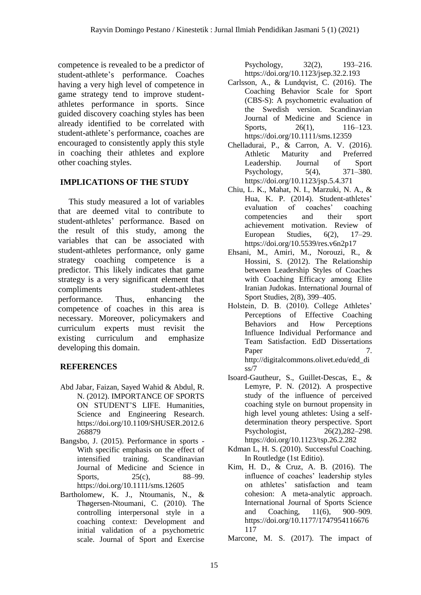competence is revealed to be a predictor of student-athlete's performance. Coaches having a very high level of competence in game strategy tend to improve studentathletes performance in sports. Since guided discovery coaching styles has been already identified to be correlated with student-athlete's performance, coaches are encouraged to consistently apply this style in coaching their athletes and explore other coaching styles.

## **IMPLICATIONS OF THE STUDY**

 This study measured a lot of variables that are deemed vital to contribute to student-athletes' performance. Based on the result of this study, among the variables that can be associated with student-athletes performance, only game strategy coaching competence is a predictor. This likely indicates that game strategy is a very significant element that compliments student-athletes performance. Thus, enhancing the competence of coaches in this area is necessary. Moreover, policymakers and curriculum experts must revisit the existing curriculum and emphasize developing this domain.

## **REFERENCES**

- Abd Jabar, Faizan, Sayed Wahid & Abdul, R. N. (2012). IMPORTANCE OF SPORTS ON STUDENT'S LIFE. Humanities, Science and Engineering Research. https://doi.org/10.1109/SHUSER.2012.6 268879
- Bangsbo, J. (2015). Performance in sports With specific emphasis on the effect of intensified training. Scandinavian Journal of Medicine and Science in Sports, 25(c), 88–99. https://doi.org/10.1111/sms.12605
- Bartholomew, K. J., Ntoumanis, N., & Thøgersen-Ntoumani, C. (2010). The controlling interpersonal style in a coaching context: Development and initial validation of a psychometric scale. Journal of Sport and Exercise

Psychology, 32(2), 193–216. https://doi.org/10.1123/jsep.32.2.193

- Carlsson, A., & Lundqvist, C. (2016). The Coaching Behavior Scale for Sport (CBS-S): A psychometric evaluation of the Swedish version. Scandinavian Journal of Medicine and Science in Sports, 26(1), 116–123. https://doi.org/10.1111/sms.12359
- Chelladurai, P., & Carron, A. V. (2016). Athletic Maturity and Preferred Leadership. Journal of Sport Psychology, 5(4), 371–380. https://doi.org/10.1123/jsp.5.4.371
- Chiu, L. K., Mahat, N. I., Marzuki, N. A., & Hua, K. P. (2014). Student-athletes' evaluation of coaches' coaching competencies and their sport achievement motivation. Review of European Studies, 6(2), 17–29. https://doi.org/10.5539/res.v6n2p17
- Ehsani, M., Amiri, M., Norouzi, R., & Hossini, S. (2012). The Relationship between Leadership Styles of Coaches with Coaching Efficacy among Elite Iranian Judokas. International Journal of Sport Studies, 2(8), 399–405.
- Holstein, D. B. (2010). College Athletes' Perceptions of Effective Coaching Behaviors and How Perceptions Influence Individual Performance and Team Satisfaction. EdD Dissertations Paper 7. http://digitalcommons.olivet.edu/edd\_di ss/7
- Isoard-Gautheur, S., Guillet-Descas, E., & Lemyre, P. N. (2012). A prospective study of the influence of perceived coaching style on burnout propensity in high level young athletes: Using a selfdetermination theory perspective. Sport Psychologist, 26(2),282–298. https://doi.org/10.1123/tsp.26.2.282
- Kdman L, H. S. (2010). Successful Coaching. In Routledge (1st Editio).
- Kim, H. D., & Cruz, A. B. (2016). The influence of coaches' leadership styles on athletes' satisfaction and team cohesion: A meta-analytic approach. International Journal of Sports Science and Coaching, 11(6), 900–909. https://doi.org/10.1177/1747954116676 117

Marcone, M. S. (2017). The impact of